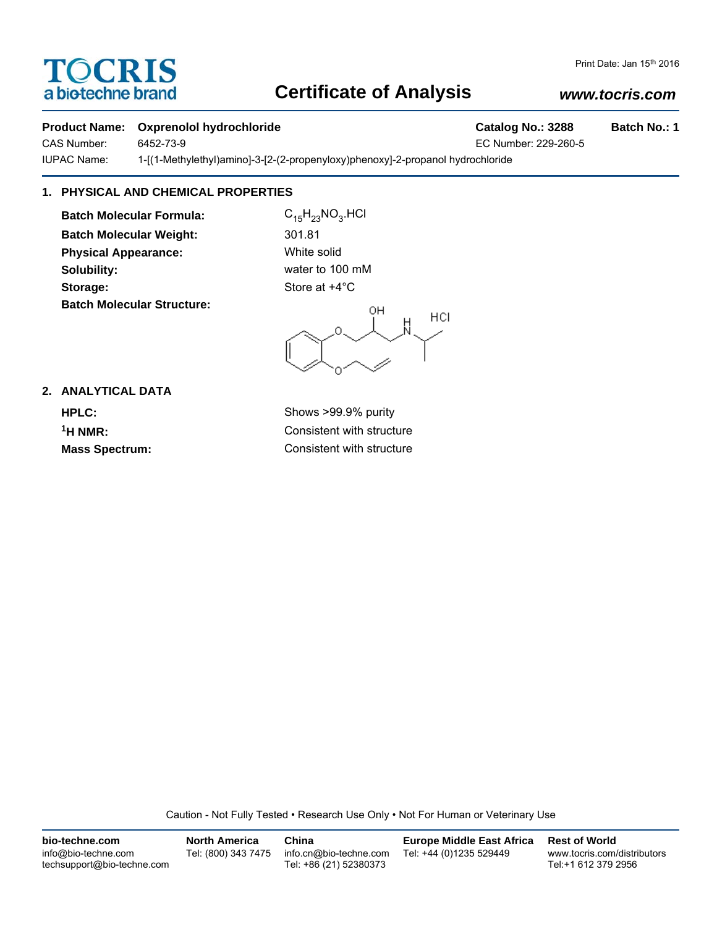# TOCRIS a biotechne brand

## **Certificate of Analysis**

### *www.tocris.com*

#### **Product Name: Oxprenolol hydrochloride Catalog No.: 3288 Batch No.: 1**

CAS Number: 6452-73-9 EC Number: 229-260-5

IUPAC Name: 1-[(1-Methylethyl)amino]-3-[2-(2-propenyloxy)phenoxy]-2-propanol hydrochloride

### **1. PHYSICAL AND CHEMICAL PROPERTIES**

**Batch Molecular Formula:** C<sub>15</sub>H<sub>23</sub>NO<sub>3</sub>.HCl **Batch Molecular Weight:** 301.81 **Physical Appearance:** White solid **Solubility:** water to 100 mM **Storage:** Store at  $+4^{\circ}$ C **Batch Molecular Structure:**

OH HCI

**2. ANALYTICAL DATA**

**HPLC:** Shows >99.9% purity **1H NMR:** Consistent with structure **Mass Spectrum:** Consistent with structure

Caution - Not Fully Tested • Research Use Only • Not For Human or Veterinary Use

| bio-techne.com                                    | <b>North America</b> | China                                            | <b>Europe Middle East Africa</b> | <b>Rest of World</b>                               |
|---------------------------------------------------|----------------------|--------------------------------------------------|----------------------------------|----------------------------------------------------|
| info@bio-techne.com<br>techsupport@bio-techne.com | Tel: (800) 343 7475  | info.cn@bio-techne.com<br>Tel: +86 (21) 52380373 | Tel: +44 (0)1235 529449          | www.tocris.com/distributors<br>Tel:+1 612 379 2956 |